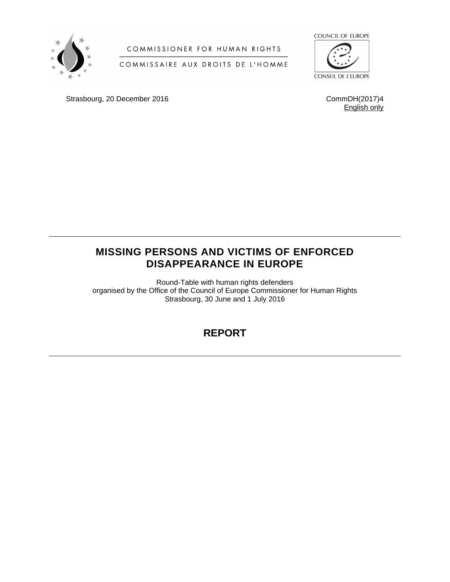

## COMMISSIONER FOR HUMAN RIGHTS

## COMMISSAIRE AUX DROITS DE L'HOMME



Strasbourg, 20 December 2016 CommDH(2017)4

English only

## **MISSING PERSONS AND VICTIMS OF ENFORCED DISAPPEARANCE IN EUROPE**

Round-Table with human rights defenders organised by the Office of the Council of Europe Commissioner for Human Rights Strasbourg, 30 June and 1 July 2016

# **REPORT**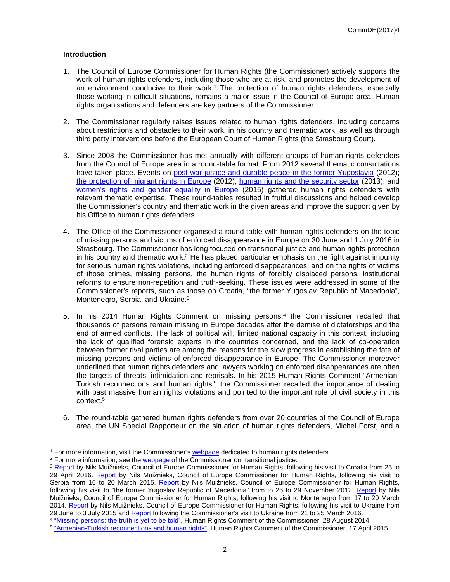## **Introduction**

- 1. The Council of Europe Commissioner for Human Rights (the Commissioner) actively supports the work of human rights defenders, including those who are at risk, and promotes the development of an environment conducive to their work.<sup>1</sup> The protection of human rights defenders, especially those working in difficult situations, remains a major issue in the Council of Europe area. Human rights organisations and defenders are key partners of the Commissioner.
- 2. The Commissioner regularly raises issues related to human rights defenders, including concerns about restrictions and obstacles to their work, in his country and thematic work, as well as through third party interventions before the European Court of Human Rights (the Strasbourg Court).
- 3. Since 2008 the Commissioner has met annually with different groups of human rights defenders from the Council of Europe area in a round-table format. From 2012 several thematic consultations have taken place. Events on [post-war justice and durable peace in the former Yugoslavia](https://wcd.coe.int/ViewDoc.jsp?id=1998891) (2012); [the protection of migrant rights in Europe](https://wcd.coe.int/com.instranet.InstraServlet?command=com.instranet.CmdBlobGet&InstranetImage=2341138&SecMode=1&DocId=2049674&Usage=2) (2012); [human rights and the security sector](https://wcd.coe.int/com.instranet.InstraServlet?command=com.instranet.CmdBlobGet&InstranetImage=2401972&SecMode=1&DocId=2085570&Usage=2) (2013); and [women's rights and gender equality in Europe](https://wcd.coe.int/ViewDoc.jsp?p=&Ref=CommDH(2016)15&Language=lanEnglish&direct=true) (2015) gathered human rights defenders with relevant thematic expertise. These round-tables resulted in fruitful discussions and helped develop the Commissioner's country and thematic work in the given areas and improve the support given by his Office to human rights defenders.
- 4. The Office of the Commissioner organised a round-table with human rights defenders on the topic of missing persons and victims of enforced disappearance in Europe on 30 June and 1 July 2016 in Strasbourg. The Commissioner has long focused on transitional justice and human rights protection in his country and thematic work.<sup>2</sup> He has placed particular emphasis on the fight against impunity for serious human rights violations, including enforced disappearances, and on the rights of victims of those crimes, missing persons, the human rights of forcibly displaced persons, institutional reforms to ensure non-repetition and truth-seeking. These issues were addressed in some of the Commissioner's reports, such as those on Croatia, "the former Yugoslav Republic of Macedonia", Montenegro, Serbia, and Ukraine.<sup>3</sup>
- 5. In his 2014 Human Rights Comment on missing persons,<sup>4</sup> the Commissioner recalled that thousands of persons remain missing in Europe decades after the demise of dictatorships and the end of armed conflicts. The lack of political will, limited national capacity in this context, including the lack of qualified forensic experts in the countries concerned, and the lack of co-operation between former rival parties are among the reasons for the slow progress in establishing the fate of missing persons and victims of enforced disappearance in Europe. The Commissioner moreover underlined that human rights defenders and lawyers working on enforced disappearances are often the targets of threats, intimidation and reprisals. In his 2015 Human Rights Comment "Armenian-Turkish reconnections and human rights", the Commissioner recalled the importance of dealing with past massive human rights violations and pointed to the important role of civil society in this context.<sup>5</sup>
- 6. The round-table gathered human rights defenders from over 20 countries of the Council of Europe area, the UN Special Rapporteur on the situation of human rights defenders, Michel Forst, and a

<sup>&</sup>lt;sup>1</sup> For more information, visit the Commissioner's [webpage](http://www.coe.int/en/web/commissioner/human-rights-defenders) dedicated to human rights defenders.

<sup>&</sup>lt;sup>2</sup> For more information, see the [webpage](http://www.coe.int/en/web/commissioner/thematic-work/transitional-justice) of the Commissioner on transitional justice.

<sup>&</sup>lt;sup>3</sup> [Report](http://www.coe.int/en/web/commissioner/country-report/croatia/-/asset_publisher/sXGrjjNkyRV2/content/croatia-should-eliminate-shortcomings-in-transitional-justice-immigration-and-media-freedom?inheritRedirect=false&redirect=http%3A%2F%2Fwww.coe.int%2Fen%2Fweb%2Fcommissioner%2Fcountry-report%2Fcroatia%3Fp_p_id%3D101_INSTANCE_sXGrjjNkyRV2%26p_p_lifecycle%3D0%26p_p_state%3Dnormal%26p_p_mode%3Dview%26p_p_col_id%3Dcolumn-1%26p_p_col_pos%3D1%26p_p_col_count%3D2) by Nils Muižnieks, Council of Europe Commissioner for Human Rights, following his visit to Croatia from 25 to 29 April 2016. [Report](http://www.coe.int/en/web/commissioner/country-report/serbia/-/asset_publisher/mLRlkOZweJs0/content/serbia-impunity-for-war-crimes-discrimination-and-lack-of-media-freedom-hamper-human-rights-progress?inheritRedirect=false&redirect=http%3A%2F%2Fwww.coe.int%2Fen%2Fweb%2Fcommissioner%2Fcountry-report%2Fserbia%3Fp_p_id%3D101_INSTANCE_mLRlkOZweJs0%26p_p_lifecycle%3D0%26p_p_state%3Dnormal%26p_p_mode%3Dview%26p_p_col_id%3Dcolumn-1%26p_p_col_pos%3D1%26p_p_col_count%3D2) by Nils Muižnieks, Council of Europe Commissioner for Human Rights, following his visit to Serbia from 16 to 20 March 2015. [Report](https://rm.coe.int/CoERMPublicCommonSearchServices/DisplayDCTMContent?documentId=09000016806db8a1) by Nils Muižnieks, Council of Europe Commissioner for Human Rights, following his visit to "the former Yugoslav Republic of Macedonia" from to 26 to 29 November 2012. [Report](https://rm.coe.int/CoERMPublicCommonSearchServices/DisplayDCTMContent?documentId=09000016806db860) by Nils Muižnieks, Council of Europe Commissioner for Human Rights, following his visit to Montenegro from 17 to 20 March 2014. [Report](http://www.coe.int/en/web/commissioner/-/eastern-ukraine-urgent-need-to-guarantee-freedom-of-movement-and-humanitarian-access?inheritRedirect=true&redirect=%2Fen%2Fweb%2Fcommissioner%2Fcountry-report%2Fukraine) by Nils Muižnieks, Council of Europe Commissioner for Human Rights, following his visit to Ukraine from 29 June to 3 July 2015 and [Report](http://www.coe.int/en/web/commissioner/-/to-prevent-further-human-suffering-in-the-east-of-ukraine-the-rule-of-law-has-to-be-re-established?inheritRedirect=true&redirect=%2Fen%2Fweb%2Fcommissioner%2Fcountry-report%2Fukraine) following the Commissioner's visit to Ukraine from 21 to 25 March 2016.

<sup>&</sup>lt;sup>4</sup> ["Missing persons: the truth is yet to be told",](http://www.coe.int/en/web/commissioner/-/missing-persons-in-europe-the-truth-is-yet-to-be-told?inheritRedirect=true&redirect=%2Fen%2Fweb%2Fcommissioner%2Fthematic-work%2Ftransitional-justice) Human Rights Comment of the Commissioner, 28 August 2014.

<sup>&</sup>lt;sup>5</sup> <u>["Armenian-Turkish reconnections and human rights"](http://www.coe.int/en/web/commissioner/country-monitoring-armenia/-/asset_publisher/zH7uKF3Azc4O/content/armenian-turkish-reconnections-and-human-rights?inheritRedirect=false&redirect=http%3A%2F%2Fwww.coe.int%2Fen%2Fweb%2Fcommissioner%2Fcountry-monitoring-armenia%3Fp_p_id%3D101_INSTANCE_zH7uKF3Azc4O%26p_p_lifecycle%3D0%26p_p_state%3Dnormal%26p_p_mode%3Dview%26p_p_col_id%3Dcolumn-1%26p_p_col_pos%3D1%26p_p_col_count%3D2)</u>, Human Rights Comment of the Commissioner, 17 April 2015.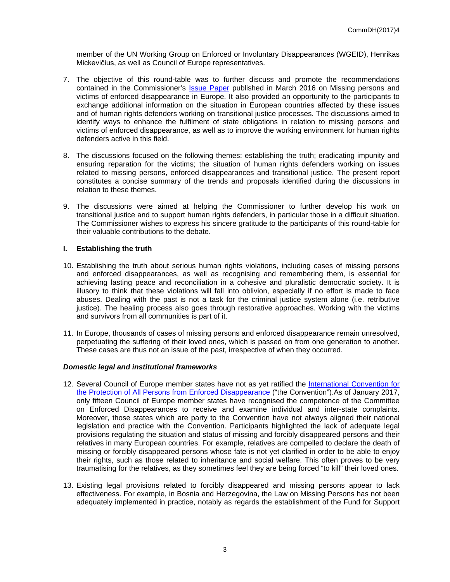member of the UN Working Group on Enforced or Involuntary Disappearances (WGEID), Henrikas Mickevičius, as well as Council of Europe representatives.

- 7. The objective of this round-table was to further discuss and promote the recommendations contained in the Commissioner's [Issue Paper](https://wcd.coe.int/com.instranet.InstraServlet?command=com.instranet.CmdBlobGet&InstranetImage=2933563&SecMode=1&DocId=2376300&Usage=2) published in March 2016 on Missing persons and victims of enforced disappearance in Europe. It also provided an opportunity to the participants to exchange additional information on the situation in European countries affected by these issues and of human rights defenders working on transitional justice processes. The discussions aimed to identify ways to enhance the fulfilment of state obligations in relation to missing persons and victims of enforced disappearance, as well as to improve the working environment for human rights defenders active in this field.
- 8. The discussions focused on the following themes: establishing the truth; eradicating impunity and ensuring reparation for the victims; the situation of human rights defenders working on issues related to missing persons, enforced disappearances and transitional justice. The present report constitutes a concise summary of the trends and proposals identified during the discussions in relation to these themes.
- 9. The discussions were aimed at helping the Commissioner to further develop his work on transitional justice and to support human rights defenders, in particular those in a difficult situation. The Commissioner wishes to express his sincere gratitude to the participants of this round-table for their valuable contributions to the debate.

## **I. Establishing the truth**

- 10. Establishing the truth about serious human rights violations, including cases of missing persons and enforced disappearances, as well as recognising and remembering them, is essential for achieving lasting peace and reconciliation in a cohesive and pluralistic democratic society. It is illusory to think that these violations will fall into oblivion, especially if no effort is made to face abuses. Dealing with the past is not a task for the criminal justice system alone (i.e. retributive justice). The healing process also goes through restorative approaches. Working with the victims and survivors from all communities is part of it.
- 11. In Europe, thousands of cases of missing persons and enforced disappearance remain unresolved, perpetuating the suffering of their loved ones, which is passed on from one generation to another. These cases are thus not an issue of the past, irrespective of when they occurred.

## *Domestic legal and institutional frameworks*

- 12. Several Council of Europe member states have not as yet ratified the [International Convention for](http://www.ohchr.org/EN/HRBodies/CED/Pages/ConventionCED.aspx)  [the Protection of All Persons from Enforced Disappearance](http://www.ohchr.org/EN/HRBodies/CED/Pages/ConventionCED.aspx) ("the Convention").As of January 2017, only fifteen Council of Europe member states have recognised the competence of the Committee on Enforced Disappearances to receive and examine individual and inter-state complaints. Moreover, those states which are party to the Convention have not always aligned their national legislation and practice with the Convention. Participants highlighted the lack of adequate legal provisions regulating the situation and status of missing and forcibly disappeared persons and their relatives in many European countries. For example, relatives are compelled to declare the death of missing or forcibly disappeared persons whose fate is not yet clarified in order to be able to enjoy their rights, such as those related to inheritance and social welfare. This often proves to be very traumatising for the relatives, as they sometimes feel they are being forced "to kill" their loved ones.
- 13. Existing legal provisions related to forcibly disappeared and missing persons appear to lack effectiveness. For example, in Bosnia and Herzegovina, the Law on Missing Persons has not been adequately implemented in practice, notably as regards the establishment of the Fund for Support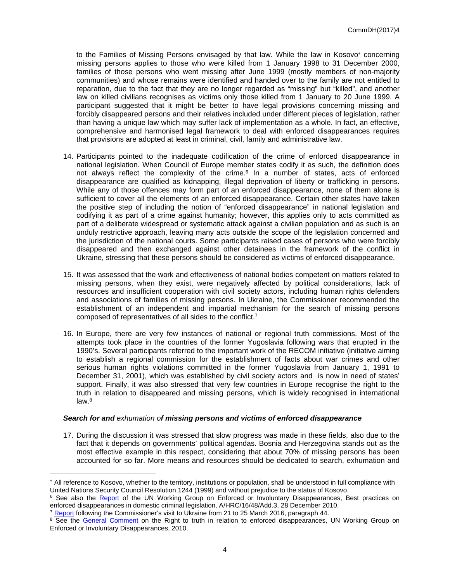to the Families of Missing Persons envisaged by that law. While the law in Kosovo<sup>\*</sup> concerning missing persons applies to those who were killed from 1 January 1998 to 31 December 2000, families of those persons who went missing after June 1999 (mostly members of non-majority communities) and whose remains were identified and handed over to the family are not entitled to reparation, due to the fact that they are no longer regarded as "missing" but "killed", and another law on killed civilians recognises as victims only those killed from 1 January to 20 June 1999. A participant suggested that it might be better to have legal provisions concerning missing and forcibly disappeared persons and their relatives included under different pieces of legislation, rather than having a unique law which may suffer lack of implementation as a whole. In fact, an effective, comprehensive and harmonised legal framework to deal with enforced disappearances requires that provisions are adopted at least in criminal, civil, family and administrative law.

- 14. Participants pointed to the inadequate codification of the crime of enforced disappearance in national legislation. When Council of Europe member states codify it as such, the definition does not always reflect the complexity of the crime.<sup>6</sup> In a number of states, acts of enforced disappearance are qualified as kidnapping, illegal deprivation of liberty or trafficking in persons. While any of those offences may form part of an enforced disappearance, none of them alone is sufficient to cover all the elements of an enforced disappearance. Certain other states have taken the positive step of including the notion of "enforced disappearance" in national legislation and codifying it as part of a crime against humanity; however, this applies only to acts committed as part of a deliberate widespread or systematic attack against a civilian population and as such is an unduly restrictive approach, leaving many acts outside the scope of the legislation concerned and the jurisdiction of the national courts. Some participants raised cases of persons who were forcibly disappeared and then exchanged against other detainees in the framework of the conflict in Ukraine, stressing that these persons should be considered as victims of enforced disappearance.
- 15. It was assessed that the work and effectiveness of national bodies competent on matters related to missing persons, when they exist, were negatively affected by political considerations, lack of resources and insufficient cooperation with civil society actors, including human rights defenders and associations of families of missing persons. In Ukraine, the Commissioner recommended the establishment of an independent and impartial mechanism for the search of missing persons composed of representatives of all sides to the conflict.<sup>7</sup>
- 16. In Europe, there are very few instances of national or regional truth commissions. Most of the attempts took place in the countries of the former Yugoslavia following wars that erupted in the 1990's. Several participants referred to the important work of the RECOM initiative (initiative aiming to establish a regional commission for the establishment of facts about war crimes and other serious human rights violations committed in the former Yugoslavia from January 1, 1991 to December 31, 2001), which was established by civil society actors and is now in need of states' support. Finally, it was also stressed that very few countries in Europe recognise the right to the truth in relation to disappeared and missing persons, which is widely recognised in international  $law.<sup>8</sup>$

#### *Search for and exhumation of missing persons and victims of enforced disappearance*

17. During the discussion it was stressed that slow progress was made in these fields, also due to the fact that it depends on governments' political agendas. Bosnia and Herzegovina stands out as the most effective example in this respect, considering that about 70% of missing persons has been accounted for so far. More means and resources should be dedicated to search, exhumation and

All reference to Kosovo, whether to the territory, institutions or population, shall be understood in full compliance with United Nations Security Council Resolution 1244 (1999) and without prejudice to the status of Kosovo.

<sup>6</sup> See also the [Report](https://documents-dds-ny.un.org/doc/UNDOC/GEN/G10/179/54/PDF/G1017954.pdf?OpenElement) of the UN Working Group on Enforced or Involuntary Disappearances, Best practices on enforced disappearances in domestic criminal legislation, A/HRC/16/48/Add.3, 28 December 2010.

<sup>&</sup>lt;sup>7</sup> [Report](http://www.coe.int/en/web/commissioner/-/to-prevent-further-human-suffering-in-the-east-of-ukraine-the-rule-of-law-has-to-be-re-established?inheritRedirect=true&redirect=%2Fen%2Fweb%2Fcommissioner%2Fcountry-report%2Fukraine) following the Commissioner's visit to Ukraine from 21 to 25 March 2016, paragraph 44.

<sup>&</sup>lt;sup>8</sup> See the [General Comment](http://www.ohchr.org/Documents/Issues/Disappearances/GC-right_to_the_truth.pdf) on the Right to truth in relation to enforced disappearances, UN Working Group on Enforced or Involuntary Disappearances, 2010.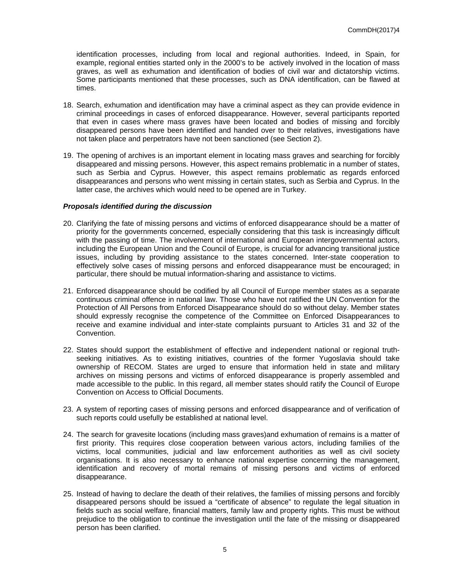identification processes, including from local and regional authorities. Indeed, in Spain, for example, regional entities started only in the 2000's to be actively involved in the location of mass graves, as well as exhumation and identification of bodies of civil war and dictatorship victims. Some participants mentioned that these processes, such as DNA identification, can be flawed at times.

- 18. Search, exhumation and identification may have a criminal aspect as they can provide evidence in criminal proceedings in cases of enforced disappearance. However, several participants reported that even in cases where mass graves have been located and bodies of missing and forcibly disappeared persons have been identified and handed over to their relatives, investigations have not taken place and perpetrators have not been sanctioned (see Section 2).
- 19. The opening of archives is an important element in locating mass graves and searching for forcibly disappeared and missing persons. However, this aspect remains problematic in a number of states, such as Serbia and Cyprus. However, this aspect remains problematic as regards enforced disappearances and persons who went missing in certain states, such as Serbia and Cyprus. In the latter case, the archives which would need to be opened are in Turkey.

## *Proposals identified during the discussion*

- 20. Clarifying the fate of missing persons and victims of enforced disappearance should be a matter of priority for the governments concerned, especially considering that this task is increasingly difficult with the passing of time. The involvement of international and European intergovernmental actors, including the European Union and the Council of Europe, is crucial for advancing transitional justice issues, including by providing assistance to the states concerned. Inter-state cooperation to effectively solve cases of missing persons and enforced disappearance must be encouraged; in particular, there should be mutual information-sharing and assistance to victims.
- 21. Enforced disappearance should be codified by all Council of Europe member states as a separate continuous criminal offence in national law. Those who have not ratified the UN Convention for the Protection of All Persons from Enforced Disappearance should do so without delay. Member states should expressly recognise the competence of the Committee on Enforced Disappearances to receive and examine individual and inter-state complaints pursuant to Articles 31 and 32 of the Convention.
- 22. States should support the establishment of effective and independent national or regional truthseeking initiatives. As to existing initiatives, countries of the former Yugoslavia should take ownership of RECOM. States are urged to ensure that information held in state and military archives on missing persons and victims of enforced disappearance is properly assembled and made accessible to the public. In this regard, all member states should ratify the Council of Europe Convention on Access to Official Documents.
- 23. A system of reporting cases of missing persons and enforced disappearance and of verification of such reports could usefully be established at national level.
- 24. The search for gravesite locations (including mass graves)and exhumation of remains is a matter of first priority. This requires close cooperation between various actors, including families of the victims, local communities, judicial and law enforcement authorities as well as civil society organisations. It is also necessary to enhance national expertise concerning the management, identification and recovery of mortal remains of missing persons and victims of enforced disappearance.
- 25. Instead of having to declare the death of their relatives, the families of missing persons and forcibly disappeared persons should be issued a "certificate of absence" to regulate the legal situation in fields such as social welfare, financial matters, family law and property rights. This must be without prejudice to the obligation to continue the investigation until the fate of the missing or disappeared person has been clarified.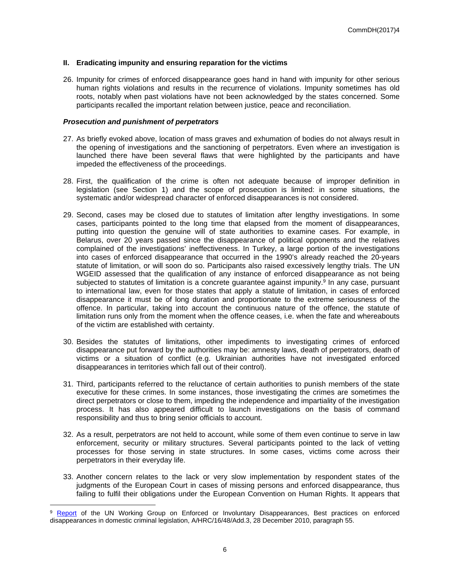## **II. Eradicating impunity and ensuring reparation for the victims**

26. Impunity for crimes of enforced disappearance goes hand in hand with impunity for other serious human rights violations and results in the recurrence of violations. Impunity sometimes has old roots, notably when past violations have not been acknowledged by the states concerned. Some participants recalled the important relation between justice, peace and reconciliation.

## *Prosecution and punishment of perpetrators*

- 27. As briefly evoked above, location of mass graves and exhumation of bodies do not always result in the opening of investigations and the sanctioning of perpetrators. Even where an investigation is launched there have been several flaws that were highlighted by the participants and have impeded the effectiveness of the proceedings.
- 28. First, the qualification of the crime is often not adequate because of improper definition in legislation (see Section 1) and the scope of prosecution is limited: in some situations, the systematic and/or widespread character of enforced disappearances is not considered.
- 29. Second, cases may be closed due to statutes of limitation after lengthy investigations. In some cases, participants pointed to the long time that elapsed from the moment of disappearances, putting into question the genuine will of state authorities to examine cases. For example, in Belarus, over 20 years passed since the disappearance of political opponents and the relatives complained of the investigations' ineffectiveness. In Turkey, a large portion of the investigations into cases of enforced disappearance that occurred in the 1990's already reached the 20-years statute of limitation, or will soon do so. Participants also raised excessively lengthy trials. The UN WGEID assessed that the qualification of any instance of enforced disappearance as not being subjected to statutes of limitation is a concrete guarantee against impunity.<sup>9</sup> In any case, pursuant to international law, even for those states that apply a statute of limitation, in cases of enforced disappearance it must be of long duration and proportionate to the extreme seriousness of the offence. In particular, taking into account the continuous nature of the offence, the statute of limitation runs only from the moment when the offence ceases, i.e. when the fate and whereabouts of the victim are established with certainty.
- 30. Besides the statutes of limitations, other impediments to investigating crimes of enforced disappearance put forward by the authorities may be: amnesty laws, death of perpetrators, death of victims or a situation of conflict (e.g. Ukrainian authorities have not investigated enforced disappearances in territories which fall out of their control).
- 31. Third, participants referred to the reluctance of certain authorities to punish members of the state executive for these crimes. In some instances, those investigating the crimes are sometimes the direct perpetrators or close to them, impeding the independence and impartiality of the investigation process. It has also appeared difficult to launch investigations on the basis of command responsibility and thus to bring senior officials to account.
- 32. As a result, perpetrators are not held to account, while some of them even continue to serve in law enforcement, security or military structures. Several participants pointed to the lack of vetting processes for those serving in state structures. In some cases, victims come across their perpetrators in their everyday life.
- 33. Another concern relates to the lack or very slow implementation by respondent states of the judgments of the European Court in cases of missing persons and enforced disappearance, thus failing to fulfil their obligations under the European Convention on Human Rights. It appears that

[Report](https://documents-dds-ny.un.org/doc/UNDOC/GEN/G10/179/54/PDF/G1017954.pdf?OpenElement) of the UN Working Group on Enforced or Involuntary Disappearances, Best practices on enforced disappearances in domestic criminal legislation, A/HRC/16/48/Add.3, 28 December 2010, paragraph 55.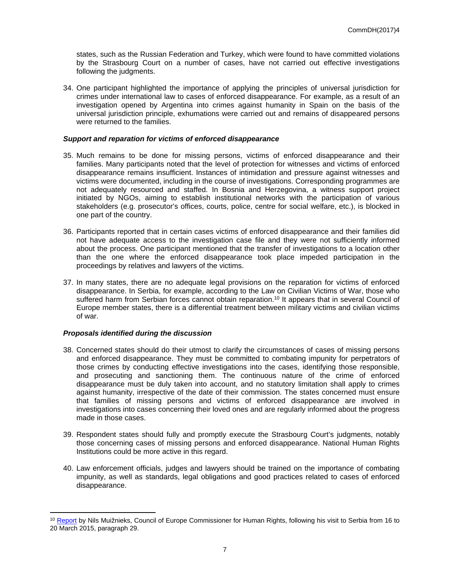states, such as the Russian Federation and Turkey, which were found to have committed violations by the Strasbourg Court on a number of cases, have not carried out effective investigations following the judgments.

34. One participant highlighted the importance of applying the principles of universal jurisdiction for crimes under international law to cases of enforced disappearance. For example, as a result of an investigation opened by Argentina into crimes against humanity in Spain on the basis of the universal jurisdiction principle, exhumations were carried out and remains of disappeared persons were returned to the families.

## *Support and reparation for victims of enforced disappearance*

- 35. Much remains to be done for missing persons, victims of enforced disappearance and their families. Many participants noted that the level of protection for witnesses and victims of enforced disappearance remains insufficient. Instances of intimidation and pressure against witnesses and victims were documented, including in the course of investigations. Corresponding programmes are not adequately resourced and staffed. In Bosnia and Herzegovina, a witness support project initiated by NGOs, aiming to establish institutional networks with the participation of various stakeholders (e.g. prosecutor's offices, courts, police, centre for social welfare, etc.), is blocked in one part of the country.
- 36. Participants reported that in certain cases victims of enforced disappearance and their families did not have adequate access to the investigation case file and they were not sufficiently informed about the process. One participant mentioned that the transfer of investigations to a location other than the one where the enforced disappearance took place impeded participation in the proceedings by relatives and lawyers of the victims.
- 37. In many states, there are no adequate legal provisions on the reparation for victims of enforced disappearance. In Serbia, for example, according to the Law on Civilian Victims of War, those who suffered harm from Serbian forces cannot obtain reparation.<sup>10</sup> It appears that in several Council of Europe member states, there is a differential treatment between military victims and civilian victims of war.

## *Proposals identified during the discussion*

- 38. Concerned states should do their utmost to clarify the circumstances of cases of missing persons and enforced disappearance. They must be committed to combating impunity for perpetrators of those crimes by conducting effective investigations into the cases, identifying those responsible, and prosecuting and sanctioning them. The continuous nature of the crime of enforced disappearance must be duly taken into account, and no statutory limitation shall apply to crimes against humanity, irrespective of the date of their commission. The states concerned must ensure that families of missing persons and victims of enforced disappearance are involved in investigations into cases concerning their loved ones and are regularly informed about the progress made in those cases.
- 39. Respondent states should fully and promptly execute the Strasbourg Court's judgments, notably those concerning cases of missing persons and enforced disappearance. National Human Rights Institutions could be more active in this regard.
- 40. Law enforcement officials, judges and lawyers should be trained on the importance of combating impunity, as well as standards, legal obligations and good practices related to cases of enforced disappearance.

<sup>&</sup>lt;sup>10</sup> [Report](http://www.coe.int/en/web/commissioner/country-report/serbia/-/asset_publisher/mLRlkOZweJs0/content/serbia-impunity-for-war-crimes-discrimination-and-lack-of-media-freedom-hamper-human-rights-progress?inheritRedirect=false&redirect=http%3A%2F%2Fwww.coe.int%2Fen%2Fweb%2Fcommissioner%2Fcountry-report%2Fserbia%3Fp_p_id%3D101_INSTANCE_mLRlkOZweJs0%26p_p_lifecycle%3D0%26p_p_state%3Dnormal%26p_p_mode%3Dview%26p_p_col_id%3Dcolumn-1%26p_p_col_pos%3D1%26p_p_col_count%3D2) by Nils Muižnieks, Council of Europe Commissioner for Human Rights, following his visit to Serbia from 16 to 20 March 2015, paragraph 29.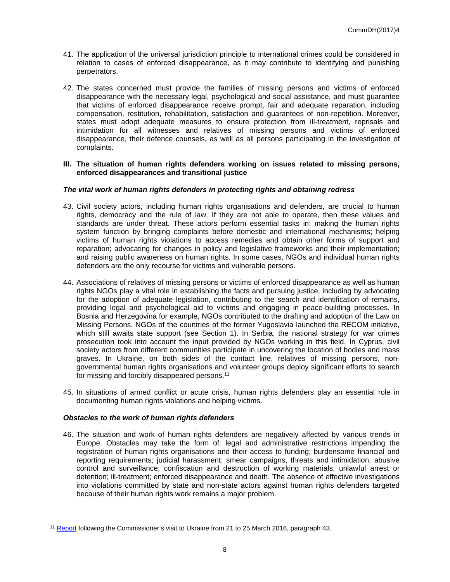- 41. The application of the universal jurisdiction principle to international crimes could be considered in relation to cases of enforced disappearance, as it may contribute to identifying and punishing perpetrators.
- 42. The states concerned must provide the families of missing persons and victims of enforced disappearance with the necessary legal, psychological and social assistance, and must guarantee that victims of enforced disappearance receive prompt, fair and adequate reparation, including compensation, restitution, rehabilitation, satisfaction and guarantees of non-repetition. Moreover, states must adopt adequate measures to ensure protection from ill-treatment, reprisals and intimidation for all witnesses and relatives of missing persons and victims of enforced disappearance, their defence counsels, as well as all persons participating in the investigation of complaints.

#### **III. The situation of human rights defenders working on issues related to missing persons, enforced disappearances and transitional justice**

## *The vital work of human rights defenders in protecting rights and obtaining redress*

- 43. Civil society actors, including human rights organisations and defenders, are crucial to human rights, democracy and the rule of law. If they are not able to operate, then these values and standards are under threat. These actors perform essential tasks in: making the human rights system function by bringing complaints before domestic and international mechanisms; helping victims of human rights violations to access remedies and obtain other forms of support and reparation; advocating for changes in policy and legislative frameworks and their implementation; and raising public awareness on human rights. In some cases, NGOs and individual human rights defenders are the only recourse for victims and vulnerable persons.
- 44. Associations of relatives of missing persons or victims of enforced disappearance as well as human rights NGOs play a vital role in establishing the facts and pursuing justice, including by advocating for the adoption of adequate legislation, contributing to the search and identification of remains, providing legal and psychological aid to victims and engaging in peace-building processes. In Bosnia and Herzegovina for example, NGOs contributed to the drafting and adoption of the Law on Missing Persons. NGOs of the countries of the former Yugoslavia launched the RECOM initiative, which still awaits state support (see Section 1). In Serbia, the national strategy for war crimes prosecution took into account the input provided by NGOs working in this field. In Cyprus, civil society actors from different communities participate in uncovering the location of bodies and mass graves. In Ukraine, on both sides of the contact line, relatives of missing persons, nongovernmental human rights organisations and volunteer groups deploy significant efforts to search for missing and forcibly disappeared persons.<sup>11</sup>
- 45. In situations of armed conflict or acute crisis, human rights defenders play an essential role in documenting human rights violations and helping victims.

## *Obstacles to the work of human rights defenders*

46. The situation and work of human rights defenders are negatively affected by various trends in Europe. Obstacles may take the form of: legal and administrative restrictions impending the registration of human rights organisations and their access to funding; burdensome financial and reporting requirements; judicial harassment; smear campaigns, threats and intimidation; abusive control and surveillance; confiscation and destruction of working materials; unlawful arrest or detention; ill-treatment; enforced disappearance and death. The absence of effective investigations into violations committed by state and non-state actors against human rights defenders targeted because of their human rights work remains a major problem.

<sup>11</sup> [Report](http://www.coe.int/en/web/commissioner/-/to-prevent-further-human-suffering-in-the-east-of-ukraine-the-rule-of-law-has-to-be-re-established?inheritRedirect=true&redirect=%2Fen%2Fweb%2Fcommissioner%2Fcountry-report%2Fukraine) following the Commissioner's visit to Ukraine from 21 to 25 March 2016, paragraph 43.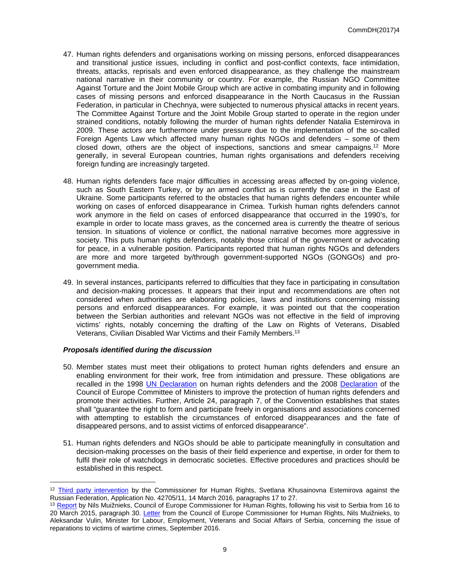- 47. Human rights defenders and organisations working on missing persons, enforced disappearances and transitional justice issues, including in conflict and post-conflict contexts, face intimidation, threats, attacks, reprisals and even enforced disappearance, as they challenge the mainstream national narrative in their community or country. For example, the Russian NGO Committee Against Torture and the Joint Mobile Group which are active in combating impunity and in following cases of missing persons and enforced disappearance in the North Caucasus in the Russian Federation, in particular in Chechnya, were subjected to numerous physical attacks in recent years. The Committee Against Torture and the Joint Mobile Group started to operate in the region under strained conditions, notably following the murder of human rights defender Natalia Estemirova in 2009. These actors are furthermore under pressure due to the implementation of the so-called Foreign Agents Law which affected many human rights NGOs and defenders – some of them closed down, others are the object of inspections, sanctions and smear campaigns.<sup>12</sup> More generally, in several European countries, human rights organisations and defenders receiving foreign funding are increasingly targeted.
- 48. Human rights defenders face major difficulties in accessing areas affected by on-going violence, such as South Eastern Turkey, or by an armed conflict as is currently the case in the East of Ukraine. Some participants referred to the obstacles that human rights defenders encounter while working on cases of enforced disappearance in Crimea. Turkish human rights defenders cannot work anymore in the field on cases of enforced disappearance that occurred in the 1990's, for example in order to locate mass graves, as the concerned area is currently the theatre of serious tension. In situations of violence or conflict, the national narrative becomes more aggressive in society. This puts human rights defenders, notably those critical of the government or advocating for peace, in a vulnerable position. Participants reported that human rights NGOs and defenders are more and more targeted by/through government-supported NGOs (GONGOs) and progovernment media.
- 49. In several instances, participants referred to difficulties that they face in participating in consultation and decision-making processes. It appears that their input and recommendations are often not considered when authorities are elaborating policies, laws and institutions concerning missing persons and enforced disappearances. For example, it was pointed out that the cooperation between the Serbian authorities and relevant NGOs was not effective in the field of improving victims' rights, notably concerning the drafting of the Law on Rights of Veterans, Disabled Veterans, Civilian Disabled War Victims and their Family Members.<sup>13</sup>

## *Proposals identified during the discussion*

- 50. Member states must meet their obligations to protect human rights defenders and ensure an enabling environment for their work, free from intimidation and pressure. These obligations are recalled in the 1998 [UN Declaration](http://daccess-dds-ny.un.org/doc/UNDOC/GEN/N99/770/89/PDF/N9977089.pdf?OpenElement) on human rights defenders and the 2008 [Declaration](https://wcd.coe.int/ViewDoc.jsp?id=1245887&Site=CM&BackColorInternet=9999CC&BackColorIntranet=FFBB55&BackColorLogged=FFAC75) of the Council of Europe Committee of Ministers to improve the protection of human rights defenders and promote their activities. Further, Article 24, paragraph 7, of the Convention establishes that states shall "guarantee the right to form and participate freely in organisations and associations concerned with attempting to establish the circumstances of enforced disappearances and the fate of disappeared persons, and to assist victims of enforced disappearance".
- 51. Human rights defenders and NGOs should be able to participate meaningfully in consultation and decision-making processes on the basis of their field experience and expertise, in order for them to fulfil their role of watchdogs in democratic societies. Effective procedures and practices should be established in this respect.

<sup>12</sup> [Third party intervention](https://wcd.coe.int/com.instranet.InstraServlet?command=com.instranet.CmdBlobGet&InstranetImage=2908135&SecMode=1&DocId=2369626&Usage=2) by the Commissioner for Human Rights, Svetlana Khusainovna Estemirova against the Russian Federation, Application No. 42705/11, 14 March 2016, paragraphs 17 to 27.

<sup>&</sup>lt;sup>13</sup> [Report](http://www.coe.int/en/web/commissioner/country-report/serbia/-/asset_publisher/mLRlkOZweJs0/content/serbia-impunity-for-war-crimes-discrimination-and-lack-of-media-freedom-hamper-human-rights-progress?inheritRedirect=false&redirect=http%3A%2F%2Fwww.coe.int%2Fen%2Fweb%2Fcommissioner%2Fcountry-report%2Fserbia%3Fp_p_id%3D101_INSTANCE_mLRlkOZweJs0%26p_p_lifecycle%3D0%26p_p_state%3Dnormal%26p_p_mode%3Dview%26p_p_col_id%3Dcolumn-1%26p_p_col_pos%3D1%26p_p_col_count%3D2) by Nils Muižnieks, Council of Europe Commissioner for Human Rights, following his visit to Serbia from 16 to 20 March 2015, paragraph 30. [Letter](https://wcd.coe.int/ViewDoc.jsp?p=&Ref=CommDH(2016)34&Language=lanEnglish&direct=true) from the Council of Europe Commissioner for Human Rights, Nils Muižnieks, to Aleksandar Vulin, Minister for Labour, Employment, Veterans and Social Affairs of Serbia, concerning the issue of reparations to victims of wartime crimes, September 2016.